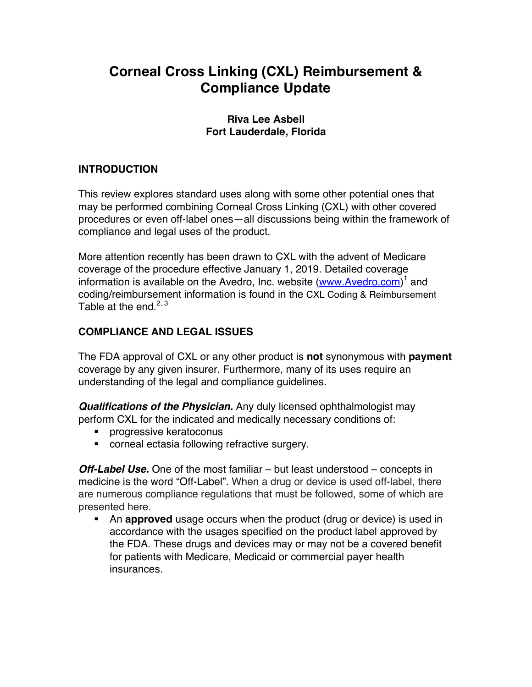# **Corneal Cross Linking (CXL) Reimbursement & Compliance Update**

#### **Riva Lee Asbell Fort Lauderdale, Florida**

## **INTRODUCTION**

This review explores standard uses along with some other potential ones that may be performed combining Corneal Cross Linking (CXL) with other covered procedures or even off-label ones—all discussions being within the framework of compliance and legal uses of the product.

More attention recently has been drawn to CXL with the advent of Medicare coverage of the procedure effective January 1, 2019. Detailed coverage information is available on the Avedro, Inc. website (www.Avedro.com)<sup>1</sup> and coding/reimbursement information is found in the CXL Coding & Reimbursement Table at the end.<sup>2, 3</sup>

## **COMPLIANCE AND LEGAL ISSUES**

The FDA approval of CXL or any other product is **not** synonymous with **payment** coverage by any given insurer. Furthermore, many of its uses require an understanding of the legal and compliance guidelines.

*Qualifications of the Physician.* Any duly licensed ophthalmologist may perform CXL for the indicated and medically necessary conditions of:

- ! progressive keratoconus
- ! corneal ectasia following refractive surgery.

*Off-Label Use.* One of the most familiar – but least understood – concepts in medicine is the word "Off-Label". When a drug or device is used off-label, there are numerous compliance regulations that must be followed, some of which are presented here.

! An **approved** usage occurs when the product (drug or device) is used in accordance with the usages specified on the product label approved by the FDA. These drugs and devices may or may not be a covered benefit for patients with Medicare, Medicaid or commercial payer health insurances.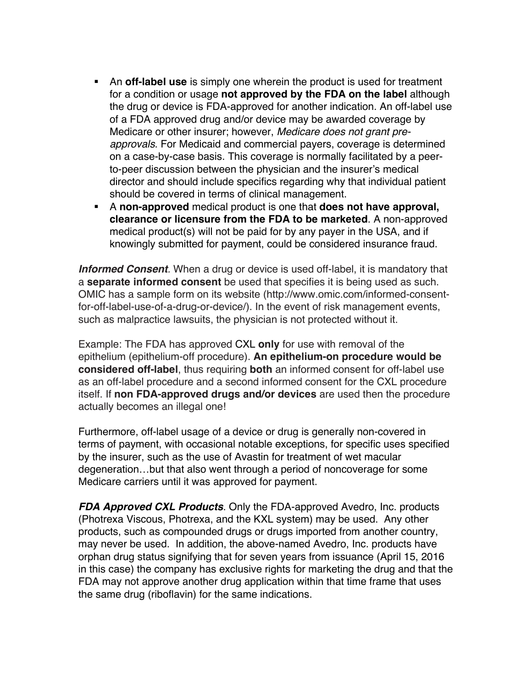- ! An **off-label use** is simply one wherein the product is used for treatment for a condition or usage **not approved by the FDA on the label** although the drug or device is FDA-approved for another indication. An off-label use of a FDA approved drug and/or device may be awarded coverage by Medicare or other insurer; however, *Medicare does not grant preapprovals*. For Medicaid and commercial payers, coverage is determined on a case-by-case basis. This coverage is normally facilitated by a peerto-peer discussion between the physician and the insurer's medical director and should include specifics regarding why that individual patient should be covered in terms of clinical management.
- ! A **non-approved** medical product is one that **does not have approval, clearance or licensure from the FDA to be marketed**. A non-approved medical product(s) will not be paid for by any payer in the USA, and if knowingly submitted for payment, could be considered insurance fraud.

**Informed Consent**. When a drug or device is used off-label, it is mandatory that a **separate informed consent** be used that specifies it is being used as such. OMIC has a sample form on its website (http://www.omic.com/informed-consentfor-off-label-use-of-a-drug-or-device/). In the event of risk management events, such as malpractice lawsuits, the physician is not protected without it.

Example: The FDA has approved CXL **only** for use with removal of the epithelium (epithelium-off procedure). **An epithelium-on procedure would be considered off-label**, thus requiring **both** an informed consent for off-label use as an off-label procedure and a second informed consent for the CXL procedure itself. If **non FDA-approved drugs and/or devices** are used then the procedure actually becomes an illegal one!

Furthermore, off-label usage of a device or drug is generally non-covered in terms of payment, with occasional notable exceptions, for specific uses specified by the insurer, such as the use of Avastin for treatment of wet macular degeneration…but that also went through a period of noncoverage for some Medicare carriers until it was approved for payment.

*FDA Approved CXL Products*. Only the FDA-approved Avedro, Inc. products (Photrexa Viscous, Photrexa, and the KXL system) may be used. Any other products, such as compounded drugs or drugs imported from another country, may never be used. In addition, the above-named Avedro, Inc. products have orphan drug status signifying that for seven years from issuance (April 15, 2016 in this case) the company has exclusive rights for marketing the drug and that the FDA may not approve another drug application within that time frame that uses the same drug (riboflavin) for the same indications.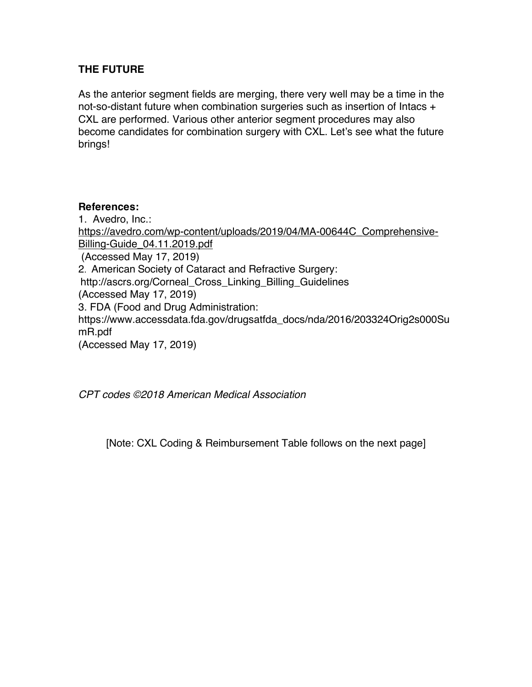## **THE FUTURE**

As the anterior segment fields are merging, there very well may be a time in the not-so-distant future when combination surgeries such as insertion of Intacs + CXL are performed. Various other anterior segment procedures may also become candidates for combination surgery with CXL. Let's see what the future brings!

#### **References:**

1. Avedro, Inc.: https://avedro.com/wp-content/uploads/2019/04/MA-00644C\_Comprehensive-Billing-Guide\_04.11.2019.pdf (Accessed May 17, 2019) 2. American Society of Cataract and Refractive Surgery: http://ascrs.org/Corneal\_Cross\_Linking\_Billing\_Guidelines (Accessed May 17, 2019) 3. FDA (Food and Drug Administration: https://www.accessdata.fda.gov/drugsatfda\_docs/nda/2016/203324Orig2s000Su mR.pdf (Accessed May 17, 2019)

*CPT codes ©2018 American Medical Association*

[Note: CXL Coding & Reimbursement Table follows on the next page]